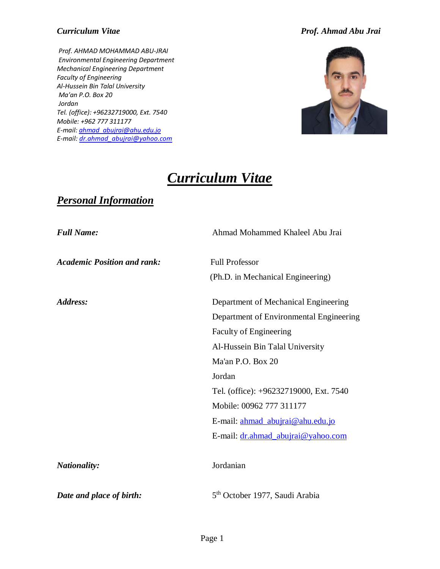#### *Curriculum Vitae Prof. Ahmad Abu Jrai*

*Prof. AHMAD MOHAMMAD ABU-JRAI Environmental Engineering Department Mechanical Engineering Department Faculty of Engineering Al-Hussein Bin Talal University Ma'an P.O. Box 20 Jordan Tel. (office): +96232719000, Ext. 7540 Mobile: +962 777 311177 E-mail[: ahmad\\_abujrai@ahu.edu.jo](mailto:ahmad_abujrai@ahu.edu.jo) E-mail[: dr.ahmad\\_abujrai@yahoo.com](mailto:dr.ahmad_abujrai@yahoo.com)*



# *Curriculum Vitae*

## *Personal Information*

| <b>Full Name:</b>                  | Ahmad Mohammed Khaleel Abu Jrai            |
|------------------------------------|--------------------------------------------|
| <b>Academic Position and rank:</b> | <b>Full Professor</b>                      |
|                                    | (Ph.D. in Mechanical Engineering)          |
| Address:                           | Department of Mechanical Engineering       |
|                                    | Department of Environmental Engineering    |
|                                    | <b>Faculty of Engineering</b>              |
|                                    | Al-Hussein Bin Talal University            |
|                                    | Ma'an P.O. Box 20                          |
|                                    | Jordan                                     |
|                                    | Tel. (office): +96232719000, Ext. 7540     |
|                                    | Mobile: 00962 777 311177                   |
|                                    | E-mail: ahmad_abujrai@ahu.edu.jo           |
|                                    | E-mail: dr.ahmad_abujrai@yahoo.com         |
| <b>Nationality:</b>                | Jordanian                                  |
| Date and place of birth:           | 5 <sup>th</sup> October 1977, Saudi Arabia |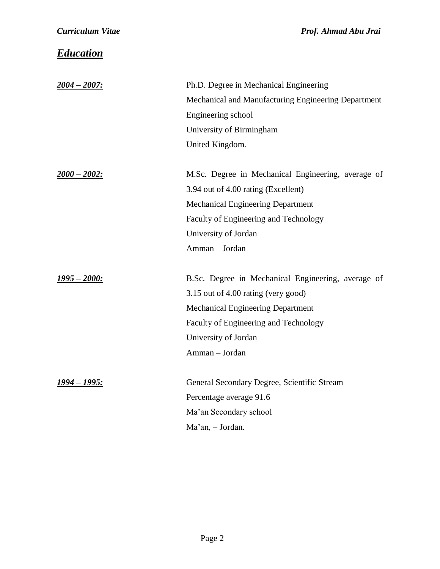| <i><b>Education</b></i> |                                                     |
|-------------------------|-----------------------------------------------------|
| <u> 2004 – 2007:</u>    | Ph.D. Degree in Mechanical Engineering              |
|                         | Mechanical and Manufacturing Engineering Department |
|                         | Engineering school                                  |
|                         | University of Birmingham                            |
|                         | United Kingdom.                                     |
| $2000 - 2002$ :         | M.Sc. Degree in Mechanical Engineering, average of  |
|                         | 3.94 out of 4.00 rating (Excellent)                 |
|                         | <b>Mechanical Engineering Department</b>            |
|                         | Faculty of Engineering and Technology               |
|                         | University of Jordan                                |
|                         | Amman - Jordan                                      |
| <u> 1995 – 2000:</u>    | B.Sc. Degree in Mechanical Engineering, average of  |
|                         | 3.15 out of 4.00 rating (very good)                 |
|                         | <b>Mechanical Engineering Department</b>            |
|                         | Faculty of Engineering and Technology               |
|                         | University of Jordan                                |
|                         | Amman - Jordan                                      |
| <u> 1994 – 1995:</u>    | General Secondary Degree, Scientific Stream         |
|                         | Percentage average 91.6                             |
|                         | Ma'an Secondary school                              |
|                         | Ma'an, - Jordan.                                    |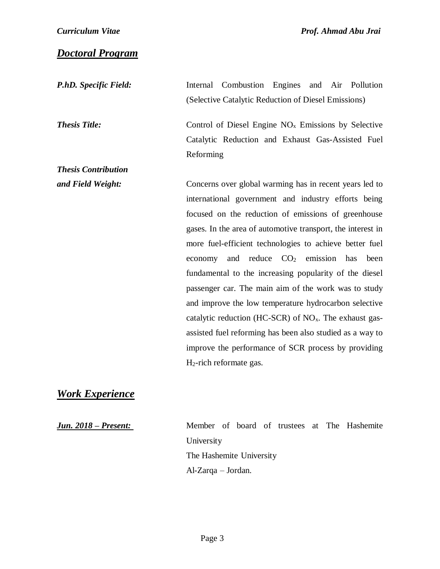## *Doctoral Program*

| P.h.D. Specific Field:     | Combustion Engines<br>and Air Pollution<br>Internal         |
|----------------------------|-------------------------------------------------------------|
|                            | (Selective Catalytic Reduction of Diesel Emissions)         |
| <b>Thesis Title:</b>       | Control of Diesel Engine $NOx$ Emissions by Selective       |
|                            | Catalytic Reduction and Exhaust Gas-Assisted Fuel           |
|                            | Reforming                                                   |
| <b>Thesis Contribution</b> |                                                             |
| and Field Weight:          | Concerns over global warming has in recent years led to     |
|                            | international government and industry efforts being         |
|                            | focused on the reduction of emissions of greenhouse         |
|                            | gases. In the area of automotive transport, the interest in |
|                            | more fuel-efficient technologies to achieve better fuel     |
|                            | and reduce $CO2$ emission has<br>been<br>economy            |
|                            | fundamental to the increasing popularity of the diesel      |
|                            | passenger car. The main aim of the work was to study        |
|                            | and improve the low temperature hydrocarbon selective       |
|                            | catalytic reduction (HC-SCR) of $NOx$ . The exhaust gas-    |
|                            | assisted fuel reforming has been also studied as a way to   |
|                            | improve the performance of SCR process by providing         |
|                            | $H_2$ -rich reformate gas.                                  |

## *Work Experience*

*Jun. 2018 – Present:* Member of board of trustees at The Hashemite University The Hashemite University Al-Zarqa – Jordan.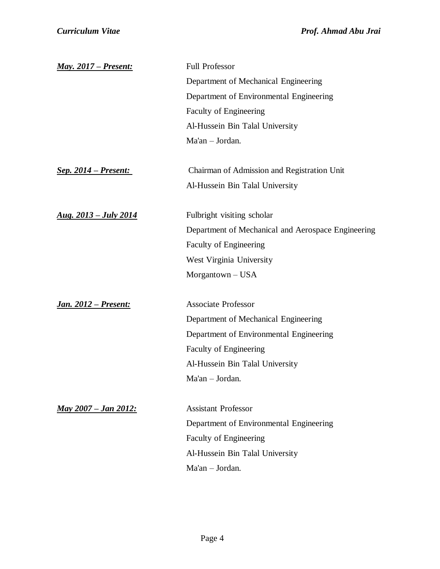| <u> May. 2017 – Present:</u>  | <b>Full Professor</b>                              |
|-------------------------------|----------------------------------------------------|
|                               | Department of Mechanical Engineering               |
|                               | Department of Environmental Engineering            |
|                               | Faculty of Engineering                             |
|                               | Al-Hussein Bin Talal University                    |
|                               | Ma'an - Jordan.                                    |
| <u>Sep. 2014 – Present:</u>   | Chairman of Admission and Registration Unit        |
|                               | Al-Hussein Bin Talal University                    |
| <u> Aug. 2013 – July 2014</u> | Fulbright visiting scholar                         |
|                               | Department of Mechanical and Aerospace Engineering |
|                               | Faculty of Engineering                             |
|                               | West Virginia University                           |
|                               | Morgantown - USA                                   |
| <u> Jan. 2012 – Present:</u>  | <b>Associate Professor</b>                         |
|                               | Department of Mechanical Engineering               |
|                               | Department of Environmental Engineering            |
|                               | <b>Faculty of Engineering</b>                      |
|                               | Al-Hussein Bin Talal University                    |
|                               | $Ma'an - Jordan$ .                                 |
| <u> May 2007 – Jan 2012:</u>  | <b>Assistant Professor</b>                         |
|                               | Department of Environmental Engineering            |
|                               | <b>Faculty of Engineering</b>                      |
|                               | Al-Hussein Bin Talal University                    |
|                               | Ma'an - Jordan.                                    |
|                               |                                                    |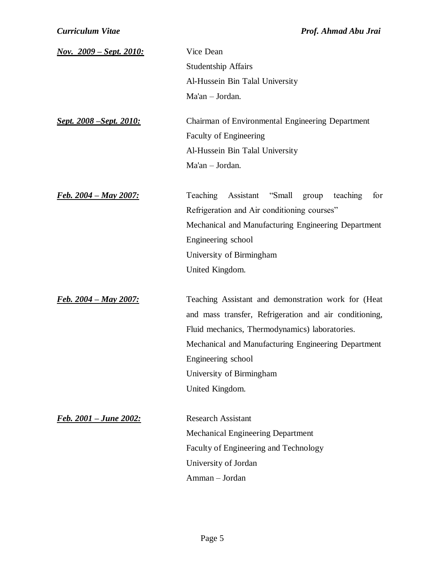| <u>Nov. 2009 – Sept. 2010:</u> | Vice Dean                                              |
|--------------------------------|--------------------------------------------------------|
|                                | <b>Studentship Affairs</b>                             |
|                                | Al-Hussein Bin Talal University                        |
|                                | Ma'an - Jordan.                                        |
| Sept. 2008 – Sept. 2010:       | Chairman of Environmental Engineering Department       |
|                                | Faculty of Engineering                                 |
|                                | Al-Hussein Bin Talal University                        |
|                                | Ma'an - Jordan.                                        |
| <u>Feb. 2004 – May 2007:</u>   | Teaching Assistant<br>"Small<br>group teaching<br>for  |
|                                | Refrigeration and Air conditioning courses"            |
|                                | Mechanical and Manufacturing Engineering Department    |
|                                | Engineering school                                     |
|                                | University of Birmingham                               |
|                                | United Kingdom.                                        |
| <u>Feb. 2004 – May 2007:</u>   | Teaching Assistant and demonstration work for (Heat    |
|                                | and mass transfer, Refrigeration and air conditioning, |
|                                | Fluid mechanics, Thermodynamics) laboratories.         |
|                                | Mechanical and Manufacturing Engineering Department    |
|                                | Engineering school                                     |
|                                | University of Birmingham                               |
|                                | United Kingdom.                                        |
| Feb. 2001 – June 2002:         | <b>Research Assistant</b>                              |
|                                | <b>Mechanical Engineering Department</b>               |
|                                | Faculty of Engineering and Technology                  |
|                                | University of Jordan                                   |
|                                | Amman - Jordan                                         |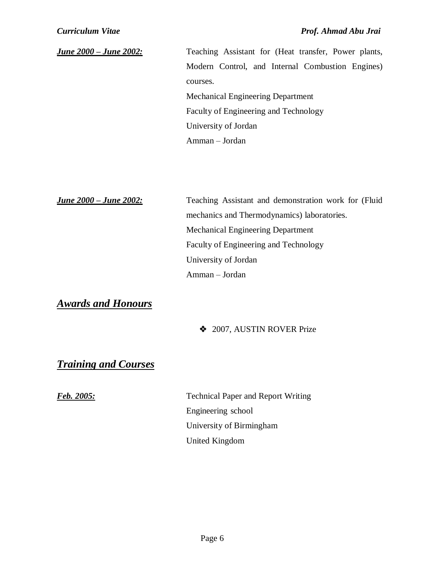| <u>June 2000 – June 2002:</u> | Teaching Assistant for (Heat transfer, Power plants, |
|-------------------------------|------------------------------------------------------|
|                               | Modern Control, and Internal Combustion Engines)     |
|                               | courses.                                             |
|                               | <b>Mechanical Engineering Department</b>             |
|                               | Faculty of Engineering and Technology                |
|                               | University of Jordan                                 |
|                               | Amman – Jordan                                       |
|                               |                                                      |

*June 2000 – June 2002:* Teaching Assistant and demonstration work for (Fluid mechanics and Thermodynamics) laboratories. Mechanical Engineering Department Faculty of Engineering and Technology University of Jordan Amman – Jordan

*Awards and Honours*

◆ 2007, AUSTIN ROVER Prize

*Training and Courses*

*Feb. 2005:* Technical Paper and Report Writing Engineering school University of Birmingham United Kingdom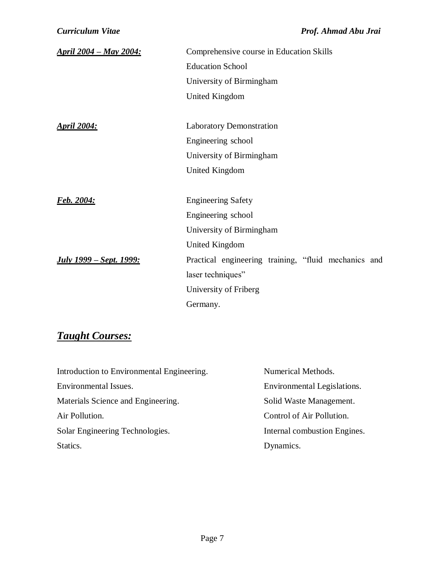| <u> April 2004 – May 2004:</u>        | Comprehensive course in Education Skills             |
|---------------------------------------|------------------------------------------------------|
|                                       | <b>Education School</b>                              |
|                                       | University of Birmingham                             |
|                                       | United Kingdom                                       |
|                                       |                                                      |
| <b>April 2004:</b>                    | <b>Laboratory Demonstration</b>                      |
|                                       | Engineering school                                   |
|                                       | University of Birmingham                             |
|                                       | United Kingdom                                       |
|                                       |                                                      |
| <u>Feb. 2004:</u>                     | <b>Engineering Safety</b>                            |
|                                       | Engineering school                                   |
|                                       | University of Birmingham                             |
|                                       | <b>United Kingdom</b>                                |
| <u><b>July 1999 – Sept. 1999:</b></u> | Practical engineering training, "fluid mechanics and |
|                                       | laser techniques"                                    |
|                                       | University of Friberg                                |
|                                       | Germany.                                             |

## *Taught Courses:*

| Introduction to Environmental Engineering. | Numerical Methods.           |
|--------------------------------------------|------------------------------|
| Environmental Issues.                      | Environmental Legislations.  |
| Materials Science and Engineering.         | Solid Waste Management.      |
| Air Pollution.                             | Control of Air Pollution.    |
| Solar Engineering Technologies.            | Internal combustion Engines. |
| Statics.                                   | Dynamics.                    |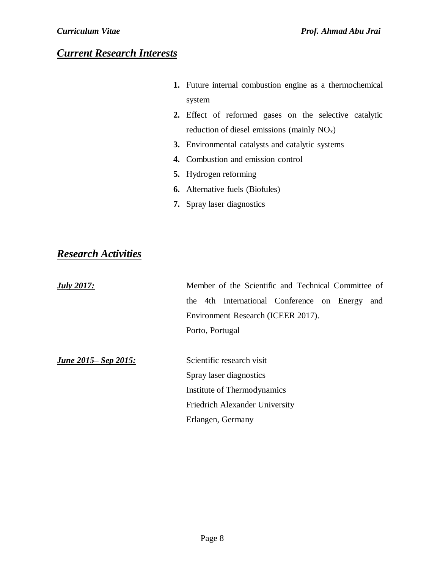## *Current Research Interests*

- **1.** Future internal combustion engine as a thermochemical system
- **2.** Effect of reformed gases on the selective catalytic reduction of diesel emissions (mainly NOx)
- **3.** Environmental catalysts and catalytic systems
- **4.** Combustion and emission control
- **5.** Hydrogen reforming
- **6.** Alternative fuels (Biofules)
- **7.** Spray laser diagnostics

#### *Research Activities*

| <b>July 2017:</b>    | Member of the Scientific and Technical Committee of |
|----------------------|-----------------------------------------------------|
|                      | the 4th International Conference on Energy<br>and   |
|                      | Environment Research (ICEER 2017).                  |
|                      | Porto, Portugal                                     |
|                      |                                                     |
| June 2015– Sep 2015: | Scientific research visit                           |
|                      | Spray laser diagnostics                             |
|                      | Institute of Thermodynamics                         |
|                      | <b>Friedrich Alexander University</b>               |
|                      | Erlangen, Germany                                   |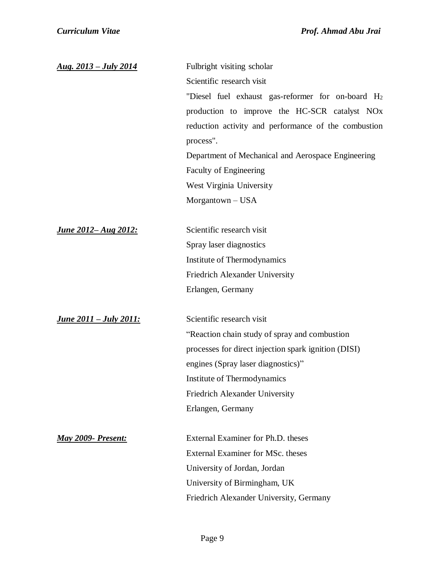| <u> Aug. 2013 – July 2014</u> | Fulbright visiting scholar                           |
|-------------------------------|------------------------------------------------------|
|                               | Scientific research visit                            |
|                               | "Diesel fuel exhaust gas-reformer for on-board $H_2$ |
|                               | production to improve the HC-SCR catalyst NOx        |
|                               | reduction activity and performance of the combustion |
|                               | process".                                            |
|                               | Department of Mechanical and Aerospace Engineering   |
|                               | Faculty of Engineering                               |
|                               | West Virginia University                             |
|                               | Morgantown - USA                                     |
| <u>June 2012– Aug 2012:</u>   | Scientific research visit                            |
|                               | Spray laser diagnostics                              |
|                               | Institute of Thermodynamics                          |
|                               | Friedrich Alexander University                       |
|                               | Erlangen, Germany                                    |
| <u>June 2011 – July 2011:</u> | Scientific research visit                            |
|                               | "Reaction chain study of spray and combustion"       |
|                               | processes for direct injection spark ignition (DISI) |
|                               | engines (Spray laser diagnostics)"                   |
|                               | Institute of Thermodynamics                          |
|                               | Friedrich Alexander University                       |
|                               | Erlangen, Germany                                    |
| <b>May 2009- Present:</b>     | External Examiner for Ph.D. theses                   |
|                               | <b>External Examiner for MSc. theses</b>             |
|                               | University of Jordan, Jordan                         |
|                               | University of Birmingham, UK                         |
|                               | Friedrich Alexander University, Germany              |
|                               |                                                      |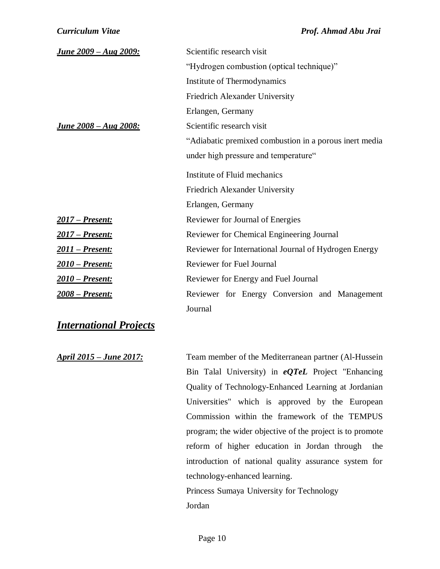| <u> June 2009 – Aug 2009:</u>   | Scientific research visit                                 |
|---------------------------------|-----------------------------------------------------------|
|                                 | "Hydrogen combustion (optical technique)"                 |
|                                 | Institute of Thermodynamics                               |
|                                 | Friedrich Alexander University                            |
|                                 | Erlangen, Germany                                         |
| <u> June 2008 – Aug 2008:</u>   | Scientific research visit                                 |
|                                 | "Adiabatic premixed combustion in a porous inert media    |
|                                 | under high pressure and temperature"                      |
|                                 | Institute of Fluid mechanics                              |
|                                 | Friedrich Alexander University                            |
|                                 | Erlangen, Germany                                         |
| <u> 2017 – Present:</u>         | Reviewer for Journal of Energies                          |
| <u> 2017 – Present:</u>         | Reviewer for Chemical Engineering Journal                 |
| <u> 2011 – Present:</u>         | Reviewer for International Journal of Hydrogen Energy     |
| <u> 2010 – Present:</u>         | <b>Reviewer for Fuel Journal</b>                          |
| <u> 2010 – Present:</u>         | Reviewer for Energy and Fuel Journal                      |
| <u> 2008 – Present:</u>         | Reviewer for Energy Conversion and Management             |
|                                 | Journal                                                   |
| <b>International Projects</b>   |                                                           |
| <u> April 2015 – June 2017:</u> | Team member of the Mediterranean partner (Al-Hussein      |
|                                 | Bin Talal University) in eQTeL Project "Enhancing         |
|                                 | Quality of Technology-Enhanced Learning at Jordanian      |
|                                 | Universities" which is approved by the European           |
|                                 | Commission within the framework of the TEMPUS             |
|                                 | program; the wider objective of the project is to promote |
|                                 | reform of higher education in Jordan through<br>the       |
|                                 | introduction of national quality assurance system for     |
|                                 | technology-enhanced learning.                             |

Princess Sumaya University for Technology Jordan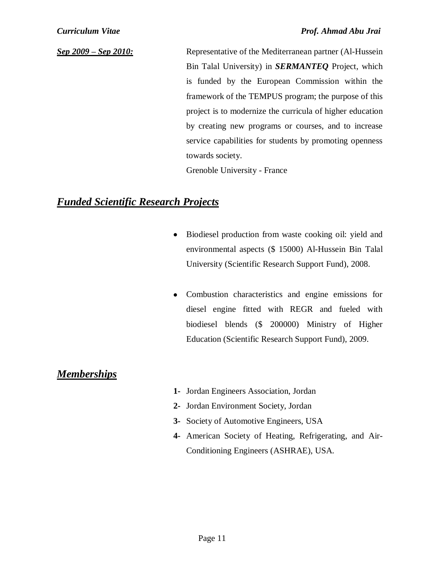## *Sep 2009 – Sep 2010:* Representative of the Mediterranean partner (Al-Hussein Bin Talal University) in *SERMANTEQ* Project, which is funded by the European Commission within the framework of the [TEMPUS](http://www.europe-education-formation.fr/tempus.php) program; the purpose of this project is to modernize the curricula of higher education by creating new programs or courses, and to increase service capabilities for students by promoting openness towards society. Grenoble University - France

### *Funded Scientific Research Projects*

- Biodiesel production from waste cooking oil: yield and environmental aspects (\$ 15000) Al-Hussein Bin Talal University (Scientific Research Support Fund), 2008.
- Combustion characteristics and engine emissions for diesel engine fitted with REGR and fueled with biodiesel blends (\$ 200000) Ministry of Higher Education (Scientific Research Support Fund), 2009.

#### *Memberships*

- **1-** Jordan Engineers Association, Jordan
- **2-** Jordan Environment Society, Jordan
- **3-** Society of Automotive Engineers, USA
- **4-** American Society of Heating, Refrigerating, and Air-Conditioning Engineers (ASHRAE), USA.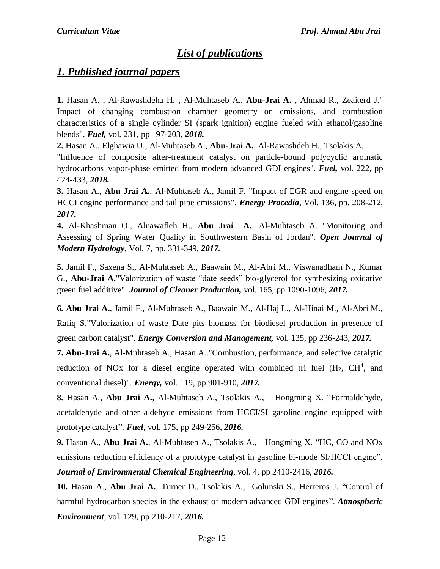## *List of publications*

### *1. Published journal papers*

**1.** Hasan A. , Al-Rawashdeha H. , Al-Muhtaseb A., **Abu-Jrai A.** , Ahmad R., Zeaiterd J." Impact of changing combustion chamber geometry on emissions, and combustion characteristics of a single cylinder SI (spark ignition) engine fueled with ethanol/gasoline blends". *Fuel,* vol. 231, pp 197-203, *2018.*

**2.** Hasan A., Elghawia U., Al-Muhtaseb A., **Abu-Jrai A.**, Al-Rawashdeh H., Tsolakis A.

"Influence of composite after-treatment catalyst on particle-bound polycyclic aromatic hydrocarbons–vapor-phase emitted from modern advanced GDI engines". *Fuel,* vol. 222, pp 424-433, *2018.*

**3.** Hasan A., **Abu Jrai A.**, Al-Muhtaseb A., Jamil F. "Impact of EGR and engine speed on HCCI engine performance and tail pipe emissions". *Energy Procedia*, Vol. 136, pp. 208-212, *2017.*

**4.** Al-Khashman O., Alnawafleh H., **Abu Jrai A.**, Al-Muhtaseb A. "Monitoring and Assessing of Spring Water Quality in Southwestern Basin of Jordan". *Open Journal of Modern Hydrology*, Vol. 7, pp. 331-349, *2017.*

**5.** Jamil F., Saxena S., Al-Muhtaseb A., Baawain M., Al-Abri M., Viswanadham N., Kumar G., **Abu-Jrai A.**"Valorization of waste "date seeds" bio-glycerol for synthesizing oxidative green fuel additive". *Journal of Cleaner Production,* vol. 165, pp 1090-1096, *2017.*

**6. Abu Jrai A.**, Jamil F., Al-Muhtaseb A., Baawain M., Al-Haj L., Al-Hinai M., Al-Abri M., Rafiq S."Valorization of waste Date pits biomass for biodiesel production in presence of green carbon catalyst". *Energy Conversion and Management,* vol. 135, pp 236-243, *2017.*

**7. Abu-Jrai A.**, Al-Muhtaseb A., Hasan A.."Combustion, performance, and selective catalytic reduction of NO<sub>x</sub> for a diesel engine operated with combined tri fuel  $(H_2, CH^4, and)$ conventional diesel)". *Energy,* vol. 119, pp 901-910, *2017.*

**8.** Hasan A., **Abu Jrai A.**, Al-Muhtaseb A., Tsolakis A., Hongming X. "Formaldehyde, acetaldehyde and other aldehyde emissions from HCCI/SI gasoline engine equipped with prototype catalyst". *Fuel*, vol. 175, pp 249-256, *2016.*

**9.** Hasan A., **Abu Jrai A.**, Al-Muhtaseb A., Tsolakis A., Hongming X. "HC, CO and NOx emissions reduction efficiency of a prototype catalyst in gasoline bi-mode SI/HCCI engine". *Journal of Environmental Chemical Engineering*, vol. 4, pp 2410-2416, *2016.*

**10.** Hasan A., **Abu Jrai A.**, Turner D., Tsolakis A., Golunski S., Herreros J. "Control of harmful hydrocarbon species in the exhaust of modern advanced GDI engines". *Atmospheric Environment*, vol. 129, pp 210-217, *2016.*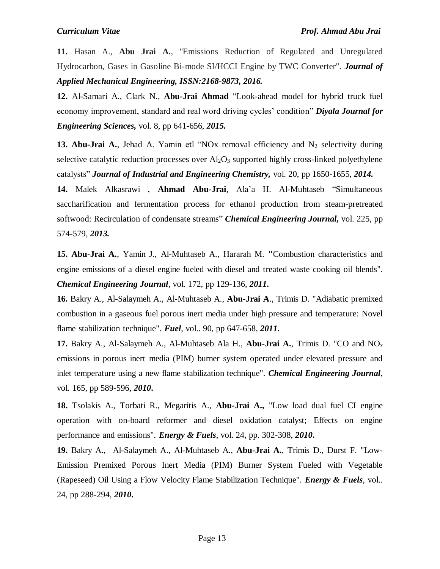**11.** Hasan A., **Abu Jrai A.**, "Emissions Reduction of Regulated and Unregulated Hydrocarbon, Gases in Gasoline Bi-mode SI/HCCI Engine by TWC Converter". *Journal of Applied Mechanical Engineering, ISSN:2168-9873, 2016.*

**12.** Al-Samari A., Clark N., **Abu-Jrai Ahmad** "Look-ahead model for hybrid truck fuel economy improvement, standard and real word driving cycles' condition" *Diyala Journal for Engineering Sciences,* vol. 8, pp 641-656, *2015.*

13. Abu-Jrai A., Jehad A. Yamin etl "NOx removal efficiency and N<sub>2</sub> selectivity during selective catalytic reduction processes over Al<sub>2</sub>O<sub>3</sub> supported highly cross-linked polyethylene catalysts" *Journal of Industrial and Engineering Chemistry,* vol. 20, pp 1650-1655, *2014.*

**14.** Malek Alkasrawi , **Ahmad Abu-Jrai**, Ala'a H. Al-Muhtaseb "Simultaneous saccharification and fermentation process for ethanol production from steam-pretreated softwood: Recirculation of condensate streams" *Chemical Engineering Journal,* vol. 225, pp 574-579, *2013.*

**15. Abu-Jrai A.**, Yamin J., Al-Muhtaseb A., Hararah M. **"**Combustion characteristics and engine emissions of a diesel engine fueled with diesel and treated waste cooking oil blends". *Chemical Engineering Journal*, vol. 172, pp 129-136, *2011***.**

**16.** Bakry A., Al-Salaymeh A., Al-Muhtaseb A., **Abu-Jrai A**., Trimis D. "Adiabatic premixed combustion in a gaseous fuel porous inert media under high pressure and temperature: Novel flame stabilization technique". *Fuel*, vol.. 90, pp 647-658, *2011***.**

**17.** Bakry A., Al-Salaymeh A., Al-Muhtaseb Ala H., **Abu-Jrai A.**, Trimis D. "CO and NO<sup>x</sup> emissions in porous inert media (PIM) burner system operated under elevated pressure and inlet temperature using a new flame stabilization technique". *Chemical Engineering Journal*, vol. 165, pp 589-596, *2010***.**

**18.** Tsolakis A., Torbati R., Megaritis A., **Abu-Jrai A.,** "Low load dual fuel CI engine operation with on-board reformer and diesel oxidation catalyst; Effects on engine performance and emissions". *Energy & Fuels*, vol. 24, pp. 302-308, *2010***.**

**19.** Bakry A., Al-Salaymeh A., Al-Muhtaseb A., **Abu-Jrai A.**, Trimis D., Durst F. "Low-Emission Premixed Porous Inert Media (PIM) Burner System Fueled with Vegetable (Rapeseed) Oil Using a Flow Velocity Flame Stabilization Technique". *Energy & Fuels*, vol.. 24, pp 288-294, *2010***.**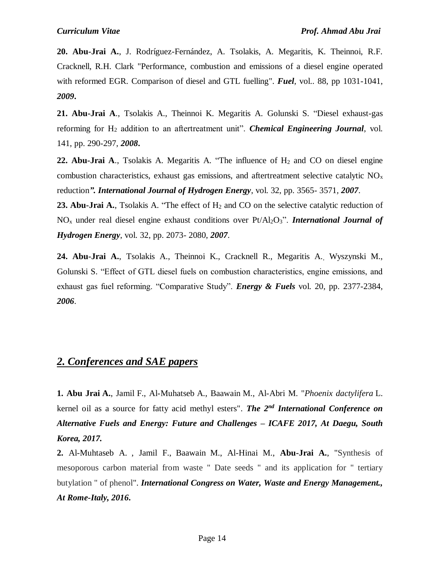**20. Abu-Jrai A.**, J. Rodríguez-Fernández, A. Tsolakis, A. Megaritis, K. Theinnoi, R.F. Cracknell, R.H. Clark ["Performance, combustion and emissions of a diesel engine operated](http://www.sciencedirect.com/science?_ob=ArticleURL&_udi=B6V3B-4V7CYFP-1&_user=4731468&_coverDate=12%2F26%2F2008&_alid=847549654&_rdoc=1&_fmt=high&_orig=search&_cdi=5726&_sort=d&_docanchor=&view=c&_ct=4&_acct=C000064618&_version=1&_urlVersion=0&_userid=4731468&md5=550c8c79732591d1d552d0a3008807ca)  [with reformed EGR. Comparison of diesel and GTL fuelling"](http://www.sciencedirect.com/science?_ob=ArticleURL&_udi=B6V3B-4V7CYFP-1&_user=4731468&_coverDate=12%2F26%2F2008&_alid=847549654&_rdoc=1&_fmt=high&_orig=search&_cdi=5726&_sort=d&_docanchor=&view=c&_ct=4&_acct=C000064618&_version=1&_urlVersion=0&_userid=4731468&md5=550c8c79732591d1d552d0a3008807ca). *Fuel*, vol.. 88, pp 1031-1041, *2009***.**

**21. Abu-Jrai A**., Tsolakis A., Theinnoi K. Megaritis A. Golunski S. "Diesel exhaust-gas reforming for H<sup>2</sup> addition to an aftertreatment unit". *Chemical Engineering Journal*, vol. 141, pp. 290-297, *2008***.**

**22. Abu-Jrai A**., Tsolakis A. Megaritis A. "The influence of  $H_2$  and CO on diesel engine combustion characteristics, exhaust gas emissions, and aftertreatment selective catalytic  $NO<sub>x</sub>$ reduction*". International Journal of Hydrogen Energy*, vol. 32, pp. 3565- 3571*, 2007*.

23. Abu-Jrai A., Tsolakis A. "The effect of H<sub>2</sub> and CO on the selective catalytic reduction of NO<sup>x</sup> under real diesel engine exhaust conditions over Pt/Al2O3". *International Journal of Hydrogen Energy*, vol. 32, pp. 2073- 2080, *2007*.

**24. Abu-Jrai A.**, Tsolakis A., Theinnoi K., Cracknell R., Megaritis A., Wyszynski M., Golunski S. "Effect of GTL diesel fuels on combustion characteristics, engine emissions, and exhaust gas fuel reforming. "Comparative Study". *Energy & Fuels* vol. 20, pp. 2377-2384, *2006*.

#### *2. Conferences and SAE papers*

**1. Abu Jrai A.**, Jamil F., Al-Muhatseb A., Baawain M., Al-Abri M. "*Phoenix dactylifera* L. kernel oil as a source for fatty acid methyl esters". *The 2nd International Conference on Alternative Fuels and Energy: Future and Challenges – ICAFE 2017, At Daegu, South Korea, 2017.*

**2.** Al-Muhtaseb A. , Jamil F., Baawain M., Al-Hinai M., **Abu-Jrai A.**, "Synthesis of mesoporous carbon material from waste " Date seeds " and its application for " tertiary butylation " of phenol". *International Congress on Water, Waste and Energy Management., At Rome-Italy, 2016***.**